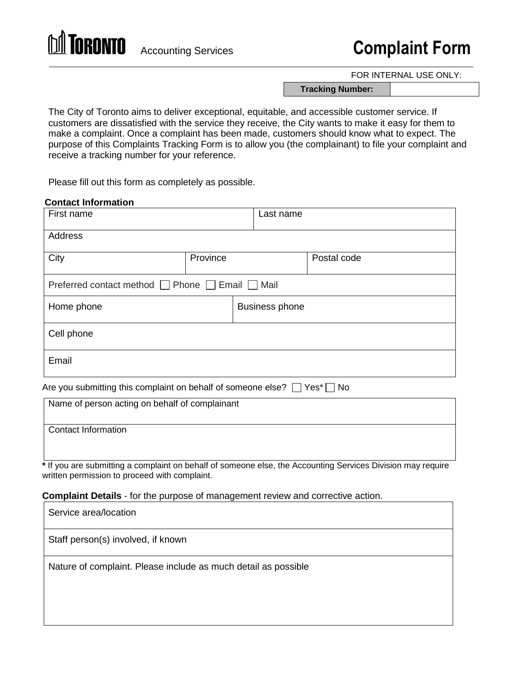

# Accounting Services **Complaint Form**

FOR INTERNAL USE ONLY:

**Tracking Number:**

The City of Toronto aims to deliver exceptional, equitable, and accessible customer service. If customers are dissatisfied with the service they receive, the City wants to make it easy for them to make a complaint. Once a complaint has been made, customers should know what to expect. The purpose of this Complaints Tracking Form is to allow you (the complainant) to file your complaint and receive a tracking number for your reference.

Please fill out this form as completely as possible.

### **Contact Information**

| First name                                      |          | Last name             |             |  |
|-------------------------------------------------|----------|-----------------------|-------------|--|
| Address                                         |          |                       |             |  |
| City                                            | Province |                       | Postal code |  |
| Preferred contact method □ Phone □ Email □ Mail |          |                       |             |  |
| Home phone                                      |          | <b>Business phone</b> |             |  |
| Cell phone                                      |          |                       |             |  |
| Email                                           |          |                       |             |  |

Are you submitting this complaint on behalf of someone else?  $\Box$  Yes<sup>\*</sup>  $\Box$  No

| Name of person acting on behalf of complainant |
|------------------------------------------------|
|                                                |
| <b>Contact Information</b>                     |
|                                                |
|                                                |

**\*** If you are submitting a complaint on behalf of someone else, the Accounting Services Division may require written permission to proceed with complaint.

**Complaint Details** - for the purpose of management review and corrective action.

| Service area/location                                          |
|----------------------------------------------------------------|
| Staff person(s) involved, if known                             |
| Nature of complaint. Please include as much detail as possible |